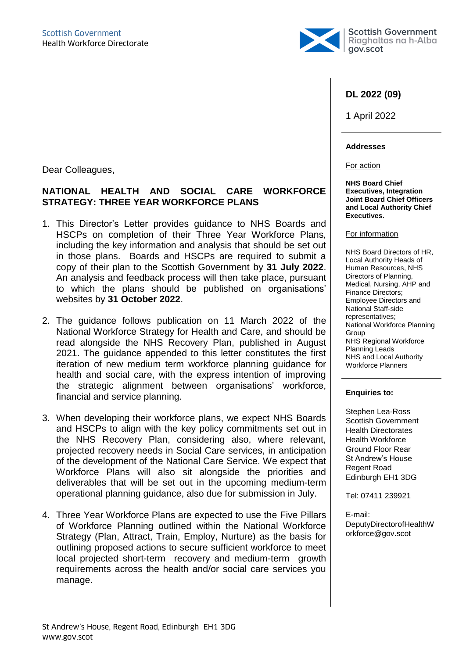

#### **DL 2022 (09)**

1 April 2022

#### **Addresses**

For action

**NHS Board Chief Executives, Integration Joint Board Chief Officers and Local Authority Chief Executives.**

#### For information

NHS Board Directors of HR, Local Authority Heads of Human Resources, NHS Directors of Planning, Medical, Nursing, AHP and Finance Directors; Employee Directors and National Staff-side representatives; National Workforce Planning Group NHS Regional Workforce Planning Leads NHS and Local Authority Workforce Planners

#### **Enquiries to:**

Stephen Lea-Ross Scottish Government Health Directorates Health Workforce Ground Floor Rear St Andrew's House Regent Road Edinburgh EH1 3DG

Tel: 07411 239921

E-mail: DeputyDirectorofHealthW orkforce@gov.scot

Dear Colleagues,

# **NATIONAL HEALTH AND SOCIAL CARE WORKFORCE STRATEGY: THREE YEAR WORKFORCE PLANS**

- 1. This Director's Letter provides guidance to NHS Boards and HSCPs on completion of their Three Year Workforce Plans, including the key information and analysis that should be set out in those plans. Boards and HSCPs are required to submit a copy of their plan to the Scottish Government by **31 July 2022**. An analysis and feedback process will then take place, pursuant to which the plans should be published on organisations' websites by **31 October 2022**.
- 2. The guidance follows publication on 11 March 2022 of the National Workforce Strategy for Health and Care, and should be read alongside the NHS Recovery Plan, published in August 2021. The guidance appended to this letter constitutes the first iteration of new medium term workforce planning guidance for health and social care, with the express intention of improving the strategic alignment between organisations' workforce, financial and service planning.
- 3. When developing their workforce plans, we expect NHS Boards and HSCPs to align with the key policy commitments set out in the NHS Recovery Plan, considering also, where relevant, projected recovery needs in Social Care services, in anticipation of the development of the National Care Service. We expect that Workforce Plans will also sit alongside the priorities and deliverables that will be set out in the upcoming medium-term operational planning guidance, also due for submission in July.
- 4. Three Year Workforce Plans are expected to use the Five Pillars of Workforce Planning outlined within the National Workforce Strategy (Plan, Attract, Train, Employ, Nurture) as the basis for outlining proposed actions to secure sufficient workforce to meet local projected short-term recovery and medium-term growth requirements across the health and/or social care services you manage.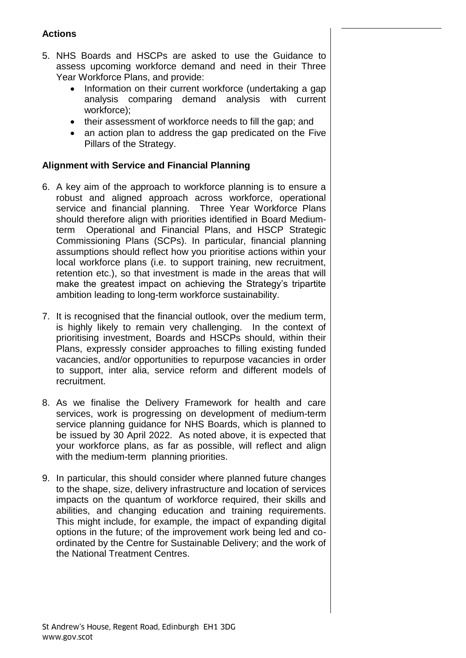# **Actions**

- 5. NHS Boards and HSCPs are asked to use the Guidance to assess upcoming workforce demand and need in their Three Year Workforce Plans, and provide:
	- Information on their current workforce (undertaking a gap analysis comparing demand analysis with current workforce);
	- their assessment of workforce needs to fill the gap; and
	- an action plan to address the gap predicated on the Five Pillars of the Strategy.

#### **Alignment with Service and Financial Planning**

- 6. A key aim of the approach to workforce planning is to ensure a robust and aligned approach across workforce, operational service and financial planning. Three Year Workforce Plans should therefore align with priorities identified in Board Mediumterm Operational and Financial Plans, and HSCP Strategic Commissioning Plans (SCPs). In particular, financial planning assumptions should reflect how you prioritise actions within your local workforce plans (i.e. to support training, new recruitment, retention etc.), so that investment is made in the areas that will make the greatest impact on achieving the Strategy's tripartite ambition leading to long-term workforce sustainability.
- 7. It is recognised that the financial outlook, over the medium term, is highly likely to remain very challenging. In the context of prioritising investment, Boards and HSCPs should, within their Plans, expressly consider approaches to filling existing funded vacancies, and/or opportunities to repurpose vacancies in order to support, inter alia, service reform and different models of recruitment.
- 8. As we finalise the Delivery Framework for health and care services, work is progressing on development of medium-term service planning guidance for NHS Boards, which is planned to be issued by 30 April 2022. As noted above, it is expected that your workforce plans, as far as possible, will reflect and align with the medium-term planning priorities.
- 9. In particular, this should consider where planned future changes to the shape, size, delivery infrastructure and location of services impacts on the quantum of workforce required, their skills and abilities, and changing education and training requirements. This might include, for example, the impact of expanding digital options in the future; of the improvement work being led and coordinated by the Centre for Sustainable Delivery; and the work of the National Treatment Centres.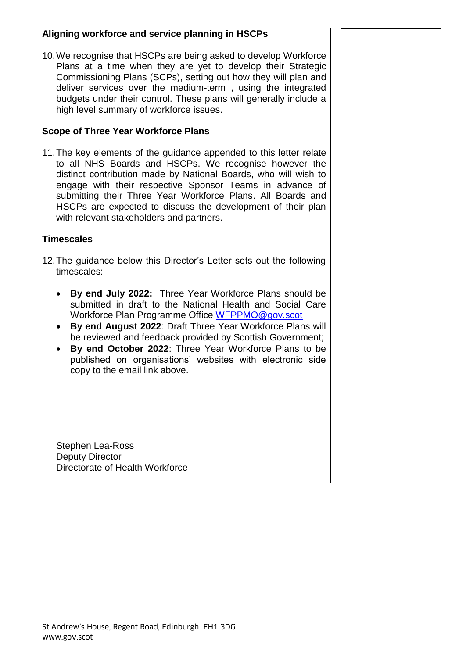## **Aligning workforce and service planning in HSCPs**

10.We recognise that HSCPs are being asked to develop Workforce Plans at a time when they are yet to develop their Strategic Commissioning Plans (SCPs), setting out how they will plan and deliver services over the medium-term , using the integrated budgets under their control. These plans will generally include a high level summary of workforce issues.

# **Scope of Three Year Workforce Plans**

11.The key elements of the guidance appended to this letter relate to all NHS Boards and HSCPs. We recognise however the distinct contribution made by National Boards, who will wish to engage with their respective Sponsor Teams in advance of submitting their Three Year Workforce Plans. All Boards and HSCPs are expected to discuss the development of their plan with relevant stakeholders and partners.

### **Timescales**

- 12.The guidance below this Director's Letter sets out the following timescales:
	- **By end July 2022:** Three Year Workforce Plans should be submitted in draft to the National Health and Social Care Workforce Plan Programme Office [WFPPMO@gov.scot](mailto:WFPPMO@gov.scot)
	- **By end August 2022**: Draft Three Year Workforce Plans will be reviewed and feedback provided by Scottish Government;
	- **By end October 2022**: Three Year Workforce Plans to be published on organisations' websites with electronic side copy to the email link above.

Stephen Lea-Ross Deputy Director Directorate of Health Workforce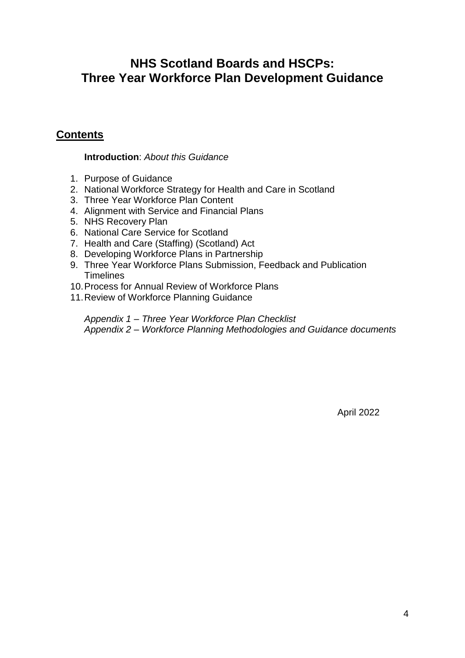# **NHS Scotland Boards and HSCPs: Three Year Workforce Plan Development Guidance**

# **Contents**

# **Introduction**: *About this Guidance*

- 1. Purpose of Guidance
- 2. National Workforce Strategy for Health and Care in Scotland
- 3. Three Year Workforce Plan Content
- 4. Alignment with Service and Financial Plans
- 5. NHS Recovery Plan
- 6. National Care Service for Scotland
- 7. Health and Care (Staffing) (Scotland) Act
- 8. Developing Workforce Plans in Partnership
- 9. Three Year Workforce Plans Submission, Feedback and Publication **Timelines**
- 10.Process for Annual Review of Workforce Plans
- 11.Review of Workforce Planning Guidance

*Appendix 1 – Three Year Workforce Plan Checklist Appendix 2 – Workforce Planning Methodologies and Guidance documents*

April 2022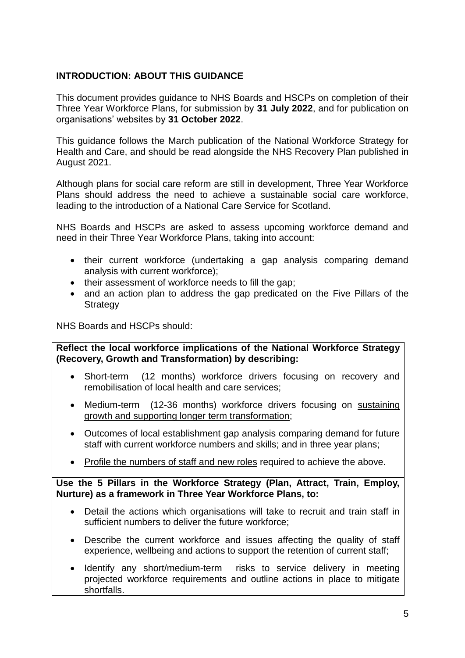# **INTRODUCTION: ABOUT THIS GUIDANCE**

This document provides guidance to NHS Boards and HSCPs on completion of their Three Year Workforce Plans, for submission by **31 July 2022**, and for publication on organisations' websites by **31 October 2022**.

This guidance follows the March publication of the National Workforce Strategy for Health and Care, and should be read alongside the NHS Recovery Plan published in August 2021.

Although plans for social care reform are still in development, Three Year Workforce Plans should address the need to achieve a sustainable social care workforce, leading to the introduction of a National Care Service for Scotland.

NHS Boards and HSCPs are asked to assess upcoming workforce demand and need in their Three Year Workforce Plans, taking into account:

- their current workforce (undertaking a gap analysis comparing demand analysis with current workforce);
- their assessment of workforce needs to fill the gap;
- and an action plan to address the gap predicated on the Five Pillars of the **Strategy**

NHS Boards and HSCPs should:

**Reflect the local workforce implications of the National Workforce Strategy (Recovery, Growth and Transformation) by describing:**

- Short-term (12 months) workforce drivers focusing on recovery and remobilisation of local health and care services;
- Medium-term (12-36 months) workforce drivers focusing on sustaining growth and supporting longer term transformation;
- Outcomes of local establishment gap analysis comparing demand for future staff with current workforce numbers and skills; and in three year plans;
- Profile the numbers of staff and new roles required to achieve the above.

**Use the 5 Pillars in the Workforce Strategy (Plan, Attract, Train, Employ, Nurture) as a framework in Three Year Workforce Plans, to:**

- Detail the actions which organisations will take to recruit and train staff in sufficient numbers to deliver the future workforce;
- Describe the current workforce and issues affecting the quality of staff experience, wellbeing and actions to support the retention of current staff;
- Identify any short/medium-term risks to service delivery in meeting projected workforce requirements and outline actions in place to mitigate shortfalls.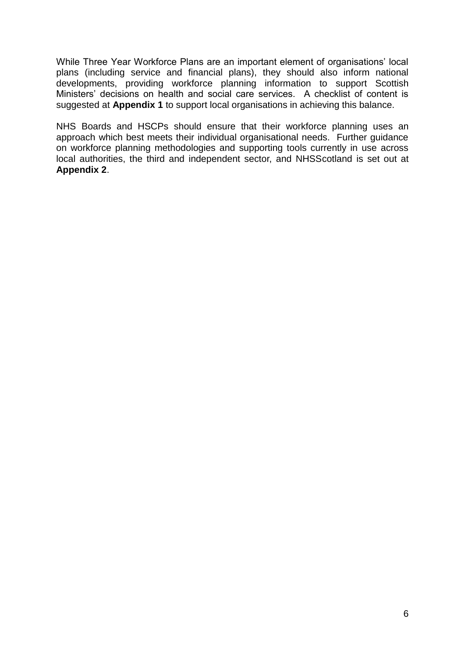While Three Year Workforce Plans are an important element of organisations' local plans (including service and financial plans), they should also inform national developments, providing workforce planning information to support Scottish Ministers' decisions on health and social care services. A checklist of content is suggested at **Appendix 1** to support local organisations in achieving this balance.

NHS Boards and HSCPs should ensure that their workforce planning uses an approach which best meets their individual organisational needs. Further guidance on workforce planning methodologies and supporting tools currently in use across local authorities, the third and independent sector, and NHSScotland is set out at **Appendix 2**.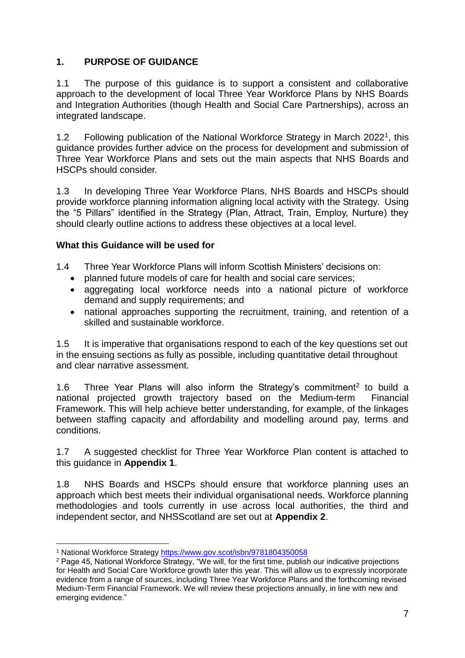# **1. PURPOSE OF GUIDANCE**

1.1 The purpose of this guidance is to support a consistent and collaborative approach to the development of local Three Year Workforce Plans by NHS Boards and Integration Authorities (though Health and Social Care Partnerships), across an integrated landscape.

1.2 Following publication of the National Workforce Strategy in March 2022<sup>1</sup>, this guidance provides further advice on the process for development and submission of Three Year Workforce Plans and sets out the main aspects that NHS Boards and HSCPs should consider.

1.3 In developing Three Year Workforce Plans, NHS Boards and HSCPs should provide workforce planning information aligning local activity with the Strategy. Using the "5 Pillars" identified in the Strategy (Plan, Attract, Train, Employ, Nurture) they should clearly outline actions to address these objectives at a local level.

#### **What this Guidance will be used for**

- 1.4 Three Year Workforce Plans will inform Scottish Ministers' decisions on:
	- planned future models of care for health and social care services:
	- aggregating local workforce needs into a national picture of workforce demand and supply requirements; and
	- national approaches supporting the recruitment, training, and retention of a skilled and sustainable workforce.

1.5 It is imperative that organisations respond to each of the key questions set out in the ensuing sections as fully as possible, including quantitative detail throughout and clear narrative assessment.

1.6 Three Year Plans will also inform the Strategy's commitment<sup>2</sup> to build a national projected growth trajectory based on the Medium-term Financial Framework. This will help achieve better understanding, for example, of the linkages between staffing capacity and affordability and modelling around pay, terms and conditions.

1.7 A suggested checklist for Three Year Workforce Plan content is attached to this guidance in **Appendix 1**.

1.8 NHS Boards and HSCPs should ensure that workforce planning uses an approach which best meets their individual organisational needs. Workforce planning methodologies and tools currently in use across local authorities, the third and independent sector, and NHSScotland are set out at **Appendix 2**.

1

<sup>1</sup> National Workforce Strategy<https://www.gov.scot/isbn/9781804350058>

<sup>2</sup> Page 45, National Workforce Strategy, "We will, for the first time, publish our indicative projections for Health and Social Care Workforce growth later this year. This will allow us to expressly incorporate evidence from a range of sources, including Three Year Workforce Plans and the forthcoming revised Medium-Term Financial Framework. We will review these projections annually, in line with new and emerging evidence."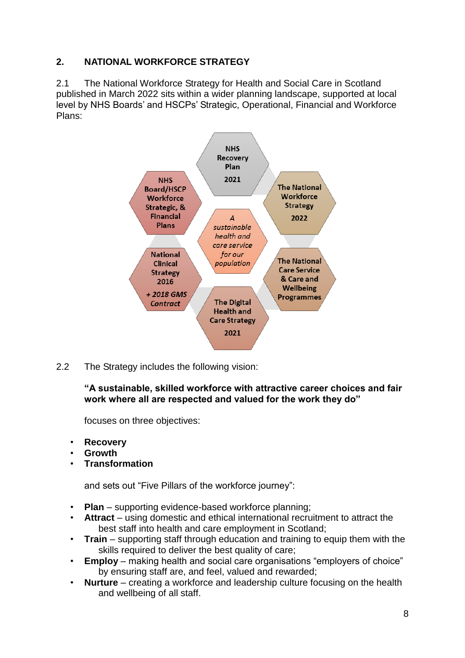# **2. NATIONAL WORKFORCE STRATEGY**

2.1 The National Workforce Strategy for Health and Social Care in Scotland published in March 2022 sits within a wider planning landscape, supported at local level by NHS Boards' and HSCPs' Strategic, Operational, Financial and Workforce Plans:



2.2 The Strategy includes the following vision:

**"A sustainable, skilled workforce with attractive career choices and fair work where all are respected and valued for the work they do"**

focuses on three objectives:

- **Recovery**
- **Growth**
- **Transformation**

and sets out "Five Pillars of the workforce journey":

- **Plan** supporting evidence-based workforce planning;
- **Attract** using domestic and ethical international recruitment to attract the best staff into health and care employment in Scotland;
- **Train** supporting staff through education and training to equip them with the skills required to deliver the best quality of care;
- **Employ** making health and social care organisations "employers of choice" by ensuring staff are, and feel, valued and rewarded;
- **Nurture** creating a workforce and leadership culture focusing on the health and wellbeing of all staff.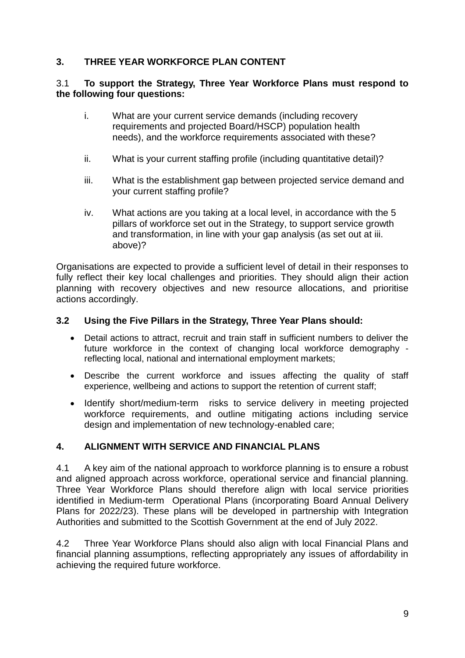# **3. THREE YEAR WORKFORCE PLAN CONTENT**

#### 3.1 **To support the Strategy, Three Year Workforce Plans must respond to the following four questions:**

- i. What are your current service demands (including recovery requirements and projected Board/HSCP) population health needs), and the workforce requirements associated with these?
- ii. What is your current staffing profile (including quantitative detail)?
- iii. What is the establishment gap between projected service demand and your current staffing profile?
- iv. What actions are you taking at a local level, in accordance with the 5 pillars of workforce set out in the Strategy, to support service growth and transformation, in line with your gap analysis (as set out at iii. above)?

Organisations are expected to provide a sufficient level of detail in their responses to fully reflect their key local challenges and priorities. They should align their action planning with recovery objectives and new resource allocations, and prioritise actions accordingly.

#### **3.2 Using the Five Pillars in the Strategy, Three Year Plans should:**

- Detail actions to attract, recruit and train staff in sufficient numbers to deliver the future workforce in the context of changing local workforce demography reflecting local, national and international employment markets;
- Describe the current workforce and issues affecting the quality of staff experience, wellbeing and actions to support the retention of current staff;
- Identify short/medium-term risks to service delivery in meeting projected workforce requirements, and outline mitigating actions including service design and implementation of new technology-enabled care;

### **4. ALIGNMENT WITH SERVICE AND FINANCIAL PLANS**

4.1 A key aim of the national approach to workforce planning is to ensure a robust and aligned approach across workforce, operational service and financial planning. Three Year Workforce Plans should therefore align with local service priorities identified in Medium-term Operational Plans (incorporating Board Annual Delivery Plans for 2022/23). These plans will be developed in partnership with Integration Authorities and submitted to the Scottish Government at the end of July 2022.

4.2 Three Year Workforce Plans should also align with local Financial Plans and financial planning assumptions, reflecting appropriately any issues of affordability in achieving the required future workforce.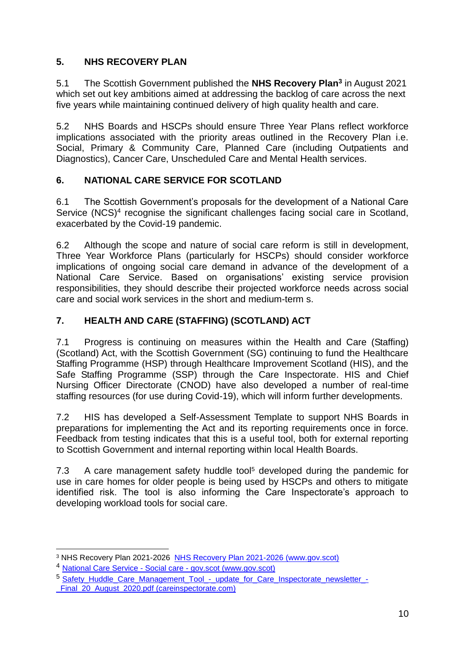# **5. NHS RECOVERY PLAN**

5.1 The Scottish Government published the **NHS Recovery Plan<sup>3</sup>** in August 2021 which set out key ambitions aimed at addressing the backlog of care across the next five years while maintaining continued delivery of high quality health and care.

5.2 NHS Boards and HSCPs should ensure Three Year Plans reflect workforce implications associated with the priority areas outlined in the Recovery Plan i.e. Social, Primary & Community Care, Planned Care (including Outpatients and Diagnostics), Cancer Care, Unscheduled Care and Mental Health services.

# **6. NATIONAL CARE SERVICE FOR SCOTLAND**

6.1 The Scottish Government's proposals for the development of a National Care Service (NCS)<sup>4</sup> recognise the significant challenges facing social care in Scotland, exacerbated by the Covid-19 pandemic.

6.2 Although the scope and nature of social care reform is still in development, Three Year Workforce Plans (particularly for HSCPs) should consider workforce implications of ongoing social care demand in advance of the development of a National Care Service. Based on organisations' existing service provision responsibilities, they should describe their projected workforce needs across social care and social work services in the short and medium-term s.

# **7. HEALTH AND CARE (STAFFING) (SCOTLAND) ACT**

7.1 Progress is continuing on measures within the Health and Care (Staffing) (Scotland) Act, with the Scottish Government (SG) continuing to fund the Healthcare Staffing Programme (HSP) through Healthcare Improvement Scotland (HIS), and the Safe Staffing Programme (SSP) through the Care Inspectorate. HIS and Chief Nursing Officer Directorate (CNOD) have also developed a number of real-time staffing resources (for use during Covid-19), which will inform further developments.

7.2 HIS has developed a Self-Assessment Template to support NHS Boards in preparations for implementing the Act and its reporting requirements once in force. Feedback from testing indicates that this is a useful tool, both for external reporting to Scottish Government and internal reporting within local Health Boards.

7.3 A care management safety huddle tool<sup>5</sup> developed during the pandemic for use in care homes for older people is being used by HSCPs and others to mitigate identified risk. The tool is also informing the Care Inspectorate's approach to developing workload tools for social care.

<sup>1</sup> <sup>3</sup> NHS Recovery Plan 2021-2026 [NHS Recovery Plan 2021-2026 \(www.gov.scot\)](https://www.gov.scot/binaries/content/documents/govscot/publications/strategy-plan/2021/08/nhs-recovery-plan/documents/nhs-recovery-plan-2021-2026/nhs-recovery-plan-2021-2026/govscot%3Adocument/nhs-recovery-plan-2021-2026.pdf)

<sup>4</sup> National Care Service - Social care - [gov.scot \(www.gov.scot\)](https://www.gov.scot/policies/social-care/national-care-service/)

<sup>&</sup>lt;sup>5</sup> Safety Huddle Care Management Tool - update for Care Inspectorate newsletter -Final\_20\_August\_2020.pdf (careinspectorate.com)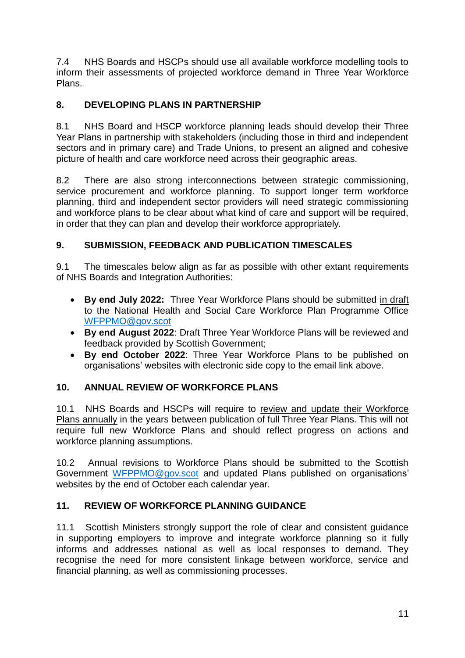7.4 NHS Boards and HSCPs should use all available workforce modelling tools to inform their assessments of projected workforce demand in Three Year Workforce Plans.

# **8. DEVELOPING PLANS IN PARTNERSHIP**

8.1 NHS Board and HSCP workforce planning leads should develop their Three Year Plans in partnership with stakeholders (including those in third and independent sectors and in primary care) and Trade Unions, to present an aligned and cohesive picture of health and care workforce need across their geographic areas.

8.2 There are also strong interconnections between strategic commissioning, service procurement and workforce planning. To support longer term workforce planning, third and independent sector providers will need strategic commissioning and workforce plans to be clear about what kind of care and support will be required, in order that they can plan and develop their workforce appropriately.

# **9. SUBMISSION, FEEDBACK AND PUBLICATION TIMESCALES**

9.1 The timescales below align as far as possible with other extant requirements of NHS Boards and Integration Authorities:

- **By end July 2022:** Three Year Workforce Plans should be submitted in draft to the National Health and Social Care Workforce Plan Programme Office [WFPPMO@gov.scot](mailto:WFPPMO@gov.scot)
- **By end August 2022**: Draft Three Year Workforce Plans will be reviewed and feedback provided by Scottish Government;
- **By end October 2022**: Three Year Workforce Plans to be published on organisations' websites with electronic side copy to the email link above.

### **10. ANNUAL REVIEW OF WORKFORCE PLANS**

10.1 NHS Boards and HSCPs will require to review and update their Workforce Plans annually in the years between publication of full Three Year Plans. This will not require full new Workforce Plans and should reflect progress on actions and workforce planning assumptions.

10.2 Annual revisions to Workforce Plans should be submitted to the Scottish Government [WFPPMO@gov.scot](mailto:WFPPMO@gov.scot) and updated Plans published on organisations' websites by the end of October each calendar year.

### **11. REVIEW OF WORKFORCE PLANNING GUIDANCE**

11.1 Scottish Ministers strongly support the role of clear and consistent guidance in supporting employers to improve and integrate workforce planning so it fully informs and addresses national as well as local responses to demand. They recognise the need for more consistent linkage between workforce, service and financial planning, as well as commissioning processes.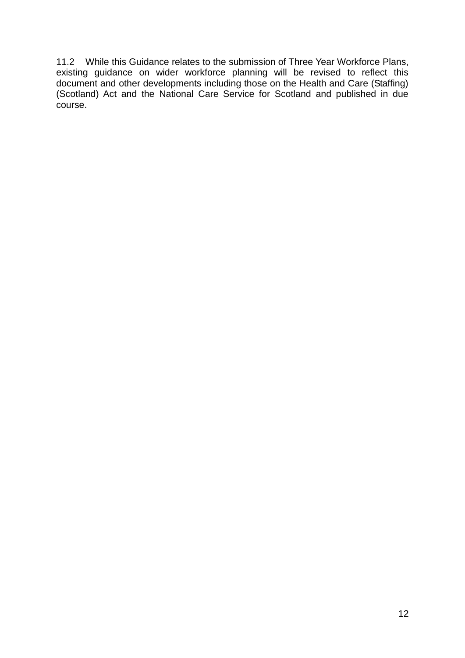11.2 While this Guidance relates to the submission of Three Year Workforce Plans, existing guidance on wider workforce planning will be revised to reflect this document and other developments including those on the Health and Care (Staffing) (Scotland) Act and the National Care Service for Scotland and published in due course.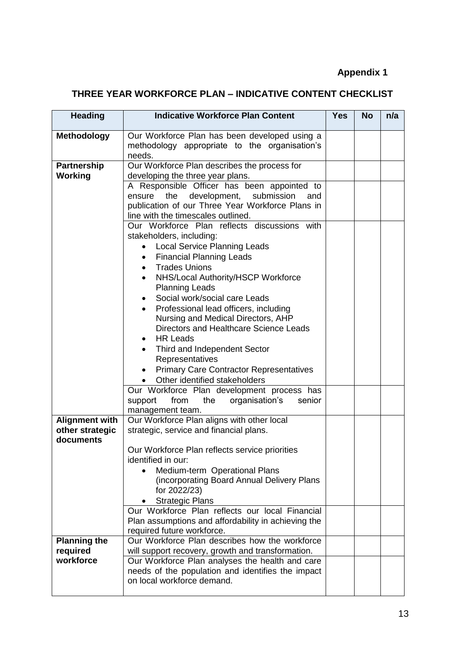# **Appendix 1**

# **THREE YEAR WORKFORCE PLAN – INDICATIVE CONTENT CHECKLIST**

| <b>Heading</b>                  | <b>Indicative Workforce Plan Content</b>                                                                                                                                              | <b>Yes</b> | <b>No</b> | n/a |
|---------------------------------|---------------------------------------------------------------------------------------------------------------------------------------------------------------------------------------|------------|-----------|-----|
| <b>Methodology</b>              | Our Workforce Plan has been developed using a<br>methodology appropriate to the organisation's<br>needs.                                                                              |            |           |     |
| <b>Partnership</b>              | Our Workforce Plan describes the process for                                                                                                                                          |            |           |     |
| Working                         | developing the three year plans.                                                                                                                                                      |            |           |     |
|                                 | A Responsible Officer has been appointed to<br>development, submission<br>ensure the<br>and<br>publication of our Three Year Workforce Plans in<br>line with the timescales outlined. |            |           |     |
|                                 | Our Workforce Plan reflects discussions with                                                                                                                                          |            |           |     |
|                                 | stakeholders, including:<br><b>Local Service Planning Leads</b><br>$\bullet$                                                                                                          |            |           |     |
|                                 | <b>Financial Planning Leads</b><br>$\bullet$                                                                                                                                          |            |           |     |
|                                 | <b>Trades Unions</b><br>$\bullet$                                                                                                                                                     |            |           |     |
|                                 | NHS/Local Authority/HSCP Workforce<br>$\bullet$                                                                                                                                       |            |           |     |
|                                 | <b>Planning Leads</b>                                                                                                                                                                 |            |           |     |
|                                 | Social work/social care Leads<br>$\bullet$                                                                                                                                            |            |           |     |
|                                 | Professional lead officers, including<br>$\bullet$                                                                                                                                    |            |           |     |
|                                 | Nursing and Medical Directors, AHP                                                                                                                                                    |            |           |     |
|                                 | Directors and Healthcare Science Leads                                                                                                                                                |            |           |     |
|                                 | <b>HR Leads</b><br>٠                                                                                                                                                                  |            |           |     |
|                                 | Third and Independent Sector                                                                                                                                                          |            |           |     |
|                                 | Representatives<br><b>Primary Care Contractor Representatives</b>                                                                                                                     |            |           |     |
|                                 | Other identified stakeholders                                                                                                                                                         |            |           |     |
|                                 | Our Workforce Plan development process has                                                                                                                                            |            |           |     |
|                                 | support<br>from<br>the<br>organisation's<br>senior                                                                                                                                    |            |           |     |
|                                 | management team.                                                                                                                                                                      |            |           |     |
| <b>Alignment with</b>           | Our Workforce Plan aligns with other local                                                                                                                                            |            |           |     |
| other strategic<br>documents    | strategic, service and financial plans.                                                                                                                                               |            |           |     |
|                                 | Our Workforce Plan reflects service priorities<br>identified in our:                                                                                                                  |            |           |     |
|                                 | Medium-term Operational Plans<br>(incorporating Board Annual Delivery Plans<br>for 2022/23)<br><b>Strategic Plans</b>                                                                 |            |           |     |
|                                 | Our Workforce Plan reflects our local Financial<br>Plan assumptions and affordability in achieving the                                                                                |            |           |     |
|                                 | required future workforce.                                                                                                                                                            |            |           |     |
| <b>Planning the</b><br>required | Our Workforce Plan describes how the workforce<br>will support recovery, growth and transformation.                                                                                   |            |           |     |
| workforce                       | Our Workforce Plan analyses the health and care<br>needs of the population and identifies the impact<br>on local workforce demand.                                                    |            |           |     |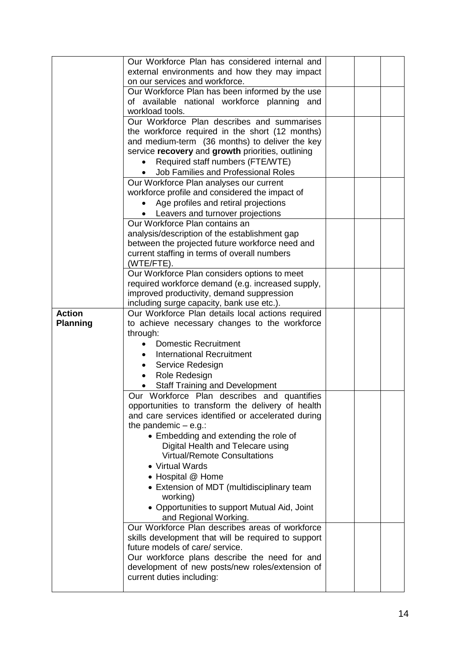|                 | Our Workforce Plan has considered internal and                                            |  |  |
|-----------------|-------------------------------------------------------------------------------------------|--|--|
|                 | external environments and how they may impact                                             |  |  |
|                 | on our services and workforce.                                                            |  |  |
|                 |                                                                                           |  |  |
|                 | Our Workforce Plan has been informed by the use                                           |  |  |
|                 | of available national workforce planning and                                              |  |  |
|                 | workload tools.                                                                           |  |  |
|                 | Our Workforce Plan describes and summarises                                               |  |  |
|                 | the workforce required in the short (12 months)                                           |  |  |
|                 | and medium-term (36 months) to deliver the key                                            |  |  |
|                 | service recovery and growth priorities, outlining                                         |  |  |
|                 | Required staff numbers (FTE/WTE)                                                          |  |  |
|                 |                                                                                           |  |  |
|                 | Job Families and Professional Roles                                                       |  |  |
|                 | Our Workforce Plan analyses our current<br>workforce profile and considered the impact of |  |  |
|                 |                                                                                           |  |  |
|                 | Age profiles and retiral projections                                                      |  |  |
|                 | Leavers and turnover projections                                                          |  |  |
|                 | Our Workforce Plan contains an                                                            |  |  |
|                 | analysis/description of the establishment gap                                             |  |  |
|                 |                                                                                           |  |  |
|                 | between the projected future workforce need and                                           |  |  |
|                 | current staffing in terms of overall numbers                                              |  |  |
|                 | (WTE/FTE).                                                                                |  |  |
|                 | Our Workforce Plan considers options to meet                                              |  |  |
|                 | required workforce demand (e.g. increased supply,                                         |  |  |
|                 | improved productivity, demand suppression                                                 |  |  |
|                 | including surge capacity, bank use etc.).                                                 |  |  |
| <b>Action</b>   | Our Workforce Plan details local actions required                                         |  |  |
| <b>Planning</b> |                                                                                           |  |  |
|                 | to achieve necessary changes to the workforce                                             |  |  |
|                 | through:                                                                                  |  |  |
|                 | <b>Domestic Recruitment</b>                                                               |  |  |
|                 | International Recruitment<br>$\bullet$                                                    |  |  |
|                 | Service Redesign<br>$\bullet$                                                             |  |  |
|                 | Role Redesign<br>$\bullet$                                                                |  |  |
|                 | <b>Staff Training and Development</b>                                                     |  |  |
|                 | Our Workforce Plan describes and quantifies                                               |  |  |
|                 |                                                                                           |  |  |
|                 | opportunities to transform the delivery of health                                         |  |  |
|                 | and care services identified or accelerated during                                        |  |  |
|                 | the pandemic $-$ e.g.:                                                                    |  |  |
|                 | • Embedding and extending the role of                                                     |  |  |
|                 | Digital Health and Telecare using                                                         |  |  |
|                 | <b>Virtual/Remote Consultations</b>                                                       |  |  |
|                 | • Virtual Wards                                                                           |  |  |
|                 |                                                                                           |  |  |
|                 | • Hospital @ Home                                                                         |  |  |
|                 | • Extension of MDT (multidisciplinary team                                                |  |  |
|                 | working)                                                                                  |  |  |
|                 | • Opportunities to support Mutual Aid, Joint                                              |  |  |
|                 | and Regional Working.                                                                     |  |  |
|                 | Our Workforce Plan describes areas of workforce                                           |  |  |
|                 | skills development that will be required to support                                       |  |  |
|                 | future models of care/ service.                                                           |  |  |
|                 |                                                                                           |  |  |
|                 | Our workforce plans describe the need for and                                             |  |  |
|                 | development of new posts/new roles/extension of                                           |  |  |
|                 | current duties including:                                                                 |  |  |
|                 |                                                                                           |  |  |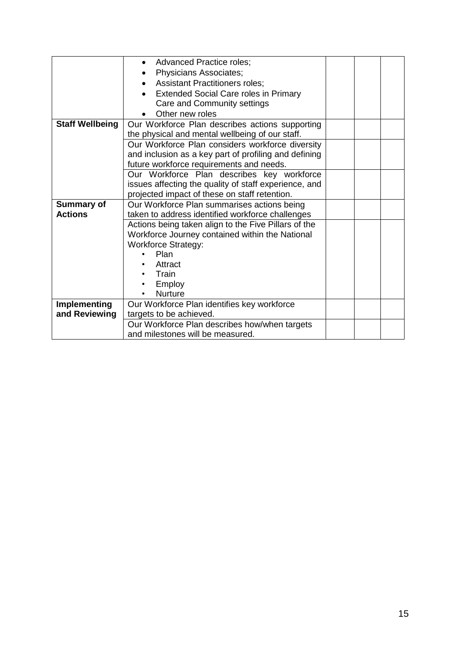|                        | <b>Advanced Practice roles;</b><br>$\bullet$          |  |  |  |  |
|------------------------|-------------------------------------------------------|--|--|--|--|
|                        | <b>Physicians Associates;</b><br>$\bullet$            |  |  |  |  |
|                        |                                                       |  |  |  |  |
|                        | <b>Assistant Practitioners roles;</b><br>$\bullet$    |  |  |  |  |
|                        | <b>Extended Social Care roles in Primary</b>          |  |  |  |  |
|                        | Care and Community settings                           |  |  |  |  |
|                        | Other new roles                                       |  |  |  |  |
| <b>Staff Wellbeing</b> | Our Workforce Plan describes actions supporting       |  |  |  |  |
|                        | the physical and mental wellbeing of our staff.       |  |  |  |  |
|                        | Our Workforce Plan considers workforce diversity      |  |  |  |  |
|                        | and inclusion as a key part of profiling and defining |  |  |  |  |
|                        | future workforce requirements and needs.              |  |  |  |  |
|                        | Our Workforce Plan describes key workforce            |  |  |  |  |
|                        | issues affecting the quality of staff experience, and |  |  |  |  |
|                        | projected impact of these on staff retention.         |  |  |  |  |
| <b>Summary of</b>      | Our Workforce Plan summarises actions being           |  |  |  |  |
| <b>Actions</b>         | taken to address identified workforce challenges      |  |  |  |  |
|                        | Actions being taken align to the Five Pillars of the  |  |  |  |  |
|                        |                                                       |  |  |  |  |
|                        | Workforce Journey contained within the National       |  |  |  |  |
|                        | <b>Workforce Strategy:</b>                            |  |  |  |  |
|                        | Plan                                                  |  |  |  |  |
|                        | Attract                                               |  |  |  |  |
|                        | Train                                                 |  |  |  |  |
|                        | Employ                                                |  |  |  |  |
|                        | <b>Nurture</b>                                        |  |  |  |  |
| <b>Implementing</b>    | Our Workforce Plan identifies key workforce           |  |  |  |  |
| and Reviewing          | targets to be achieved.                               |  |  |  |  |
|                        | Our Workforce Plan describes how/when targets         |  |  |  |  |
|                        | and milestones will be measured.                      |  |  |  |  |